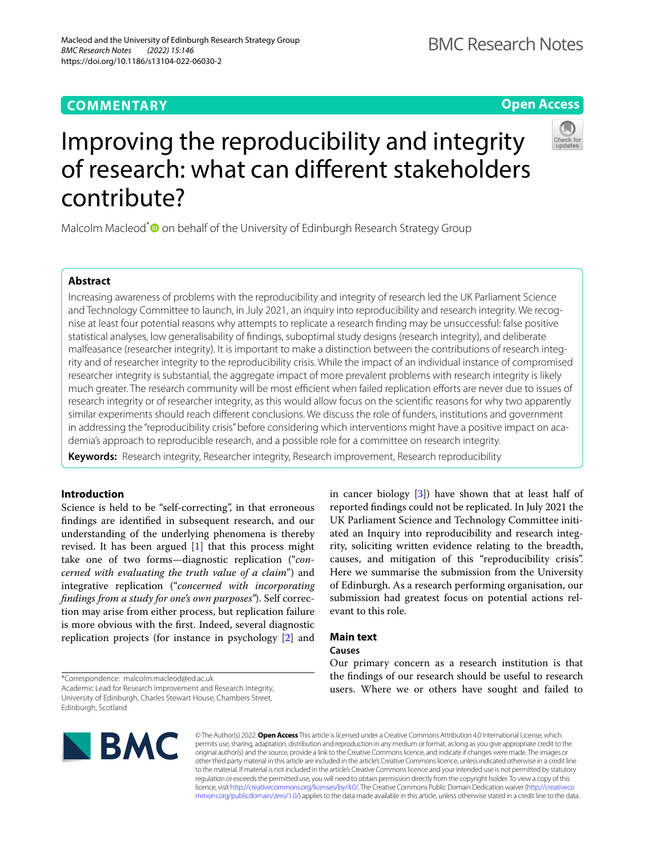# **COMMENTARY**

**Open Access**



# Improving the reproducibility and integrity of research: what can diferent stakeholders contribute?

Malcolm Macleod<sup>\*</sup> on behalf of the University of Edinburgh Research Strategy Group

# **Abstract**

Increasing awareness of problems with the reproducibility and integrity of research led the UK Parliament Science and Technology Committee to launch, in July 2021, an inquiry into reproducibility and research integrity. We recognise at least four potential reasons why attempts to replicate a research fnding may be unsuccessful: false positive statistical analyses, low generalisability of fndings, suboptimal study designs (research integrity), and deliberate malfeasance (researcher integrity). It is important to make a distinction between the contributions of research integrity and of researcher integrity to the reproducibility crisis. While the impact of an individual instance of compromised researcher integrity is substantial, the aggregate impact of more prevalent problems with research integrity is likely much greater. The research community will be most efficient when failed replication efforts are never due to issues of research integrity or of researcher integrity, as this would allow focus on the scientifc reasons for why two apparently similar experiments should reach diferent conclusions. We discuss the role of funders, institutions and government in addressing the "reproducibility crisis" before considering which interventions might have a positive impact on academia's approach to reproducible research, and a possible role for a committee on research integrity.

**Keywords:** Research integrity, Researcher integrity, Research improvement, Research reproducibility

# **Introduction**

Science is held to be "self-correcting", in that erroneous fndings are identifed in subsequent research, and our understanding of the underlying phenomena is thereby revised. It has been argued [[1\]](#page-4-0) that this process might take one of two forms—diagnostic replication ("*concerned with evaluating the truth value of a claim*") and integrative replication ("*concerned with incorporating fndings from a study for one's own purposes"*). Self correction may arise from either process, but replication failure is more obvious with the frst. Indeed, several diagnostic replication projects (for instance in psychology [\[2](#page-4-1)] and in cancer biology [[3\]](#page-4-2)) have shown that at least half of reported fndings could not be replicated. In July 2021 the UK Parliament Science and Technology Committee initiated an Inquiry into reproducibility and research integrity, soliciting written evidence relating to the breadth, causes, and mitigation of this "reproducibility crisis". Here we summarise the submission from the University of Edinburgh. As a research performing organisation, our submission had greatest focus on potential actions relevant to this role.

# **Main text**

# **Causes**

\*Correspondence: malcolm.macleod@ed.ac.uk

Academic Lead for Research Improvement and Research Integrity, University of Edinburgh, Charles Stewart House, Chambers Street, Edinburgh, Scotland



Our primary concern as a research institution is that the fndings of our research should be useful to research users. Where we or others have sought and failed to

© The Author(s) 2022. **Open Access** This article is licensed under a Creative Commons Attribution 4.0 International License, which permits use, sharing, adaptation, distribution and reproduction in any medium or format, as long as you give appropriate credit to the original author(s) and the source, provide a link to the Creative Commons licence, and indicate if changes were made. The images or other third party material in this article are included in the article's Creative Commons licence, unless indicated otherwise in a credit line to the material. If material is not included in the article's Creative Commons licence and your intended use is not permitted by statutory regulation or exceeds the permitted use, you will need to obtain permission directly from the copyright holder. To view a copy of this licence, visit [http://creativecommons.org/licenses/by/4.0/.](http://creativecommons.org/licenses/by/4.0/) The Creative Commons Public Domain Dedication waiver ([http://creativeco](http://creativecommons.org/publicdomain/zero/1.0/) [mmons.org/publicdomain/zero/1.0/](http://creativecommons.org/publicdomain/zero/1.0/)) applies to the data made available in this article, unless otherwise stated in a credit line to the data.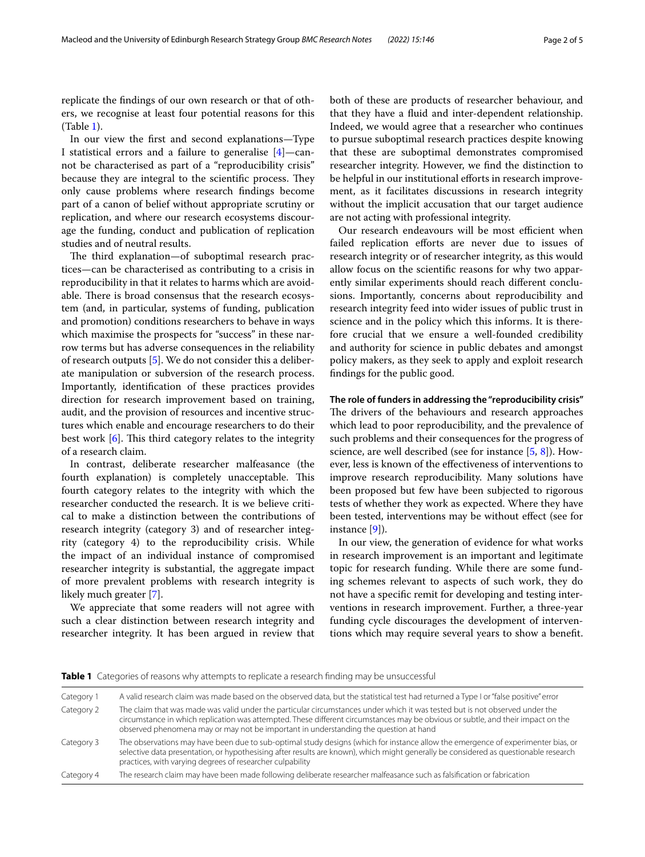replicate the fndings of our own research or that of others, we recognise at least four potential reasons for this (Table [1](#page-1-0)).

In our view the frst and second explanations—Type I statistical errors and a failure to generalise [\[4](#page-4-3)]—cannot be characterised as part of a "reproducibility crisis" because they are integral to the scientific process. They only cause problems where research fndings become part of a canon of belief without appropriate scrutiny or replication, and where our research ecosystems discourage the funding, conduct and publication of replication studies and of neutral results.

The third explanation—of suboptimal research practices—can be characterised as contributing to a crisis in reproducibility in that it relates to harms which are avoidable. There is broad consensus that the research ecosystem (and, in particular, systems of funding, publication and promotion) conditions researchers to behave in ways which maximise the prospects for "success" in these narrow terms but has adverse consequences in the reliability of research outputs [[5\]](#page-4-4). We do not consider this a deliberate manipulation or subversion of the research process. Importantly, identifcation of these practices provides direction for research improvement based on training, audit, and the provision of resources and incentive structures which enable and encourage researchers to do their best work  $[6]$  $[6]$  $[6]$ . This third category relates to the integrity of a research claim.

In contrast, deliberate researcher malfeasance (the fourth explanation) is completely unacceptable. This fourth category relates to the integrity with which the researcher conducted the research. It is we believe critical to make a distinction between the contributions of research integrity (category 3) and of researcher integrity (category 4) to the reproducibility crisis. While the impact of an individual instance of compromised researcher integrity is substantial, the aggregate impact of more prevalent problems with research integrity is likely much greater [\[7](#page-4-6)].

We appreciate that some readers will not agree with such a clear distinction between research integrity and researcher integrity. It has been argued in review that both of these are products of researcher behaviour, and that they have a fuid and inter-dependent relationship. Indeed, we would agree that a researcher who continues to pursue suboptimal research practices despite knowing that these are suboptimal demonstrates compromised researcher integrity. However, we fnd the distinction to be helpful in our institutional efforts in research improvement, as it facilitates discussions in research integrity without the implicit accusation that our target audience are not acting with professional integrity.

Our research endeavours will be most efficient when failed replication efforts are never due to issues of research integrity or of researcher integrity, as this would allow focus on the scientifc reasons for why two apparently similar experiments should reach diferent conclusions. Importantly, concerns about reproducibility and research integrity feed into wider issues of public trust in science and in the policy which this informs. It is therefore crucial that we ensure a well-founded credibility and authority for science in public debates and amongst policy makers, as they seek to apply and exploit research fndings for the public good.

**The role of funders in addressing the "reproducibility crisis"** The drivers of the behaviours and research approaches which lead to poor reproducibility, and the prevalence of such problems and their consequences for the progress of science, are well described (see for instance [\[5](#page-4-4), [8](#page-4-7)]). However, less is known of the efectiveness of interventions to improve research reproducibility. Many solutions have been proposed but few have been subjected to rigorous tests of whether they work as expected. Where they have been tested, interventions may be without efect (see for instance [\[9](#page-4-8)]).

In our view, the generation of evidence for what works in research improvement is an important and legitimate topic for research funding. While there are some funding schemes relevant to aspects of such work, they do not have a specifc remit for developing and testing interventions in research improvement. Further, a three-year funding cycle discourages the development of interventions which may require several years to show a beneft.

<span id="page-1-0"></span>

| <b>Table 1</b> Categories of reasons why attempts to replicate a research finding may be unsuccessful |  |  |
|-------------------------------------------------------------------------------------------------------|--|--|
|                                                                                                       |  |  |

| Category 1 | A valid research claim was made based on the observed data, but the statistical test had returned a Type I or "false positive" error                                                                                                                                                                                                                     |  |
|------------|----------------------------------------------------------------------------------------------------------------------------------------------------------------------------------------------------------------------------------------------------------------------------------------------------------------------------------------------------------|--|
| Category 2 | The claim that was made was valid under the particular circumstances under which it was tested but is not observed under the<br>circumstance in which replication was attempted. These different circumstances may be obvious or subtle, and their impact on the<br>observed phenomena may or may not be important in understanding the question at hand |  |
| Category 3 | The observations may have been due to sub-optimal study designs (which for instance allow the emergence of experimenter bias, or<br>selective data presentation, or hypothesising after results are known), which might generally be considered as questionable research<br>practices, with varying degrees of researcher culpability                    |  |
| Category 4 | The research claim may have been made following deliberate researcher malfeasance such as falsification or fabrication                                                                                                                                                                                                                                   |  |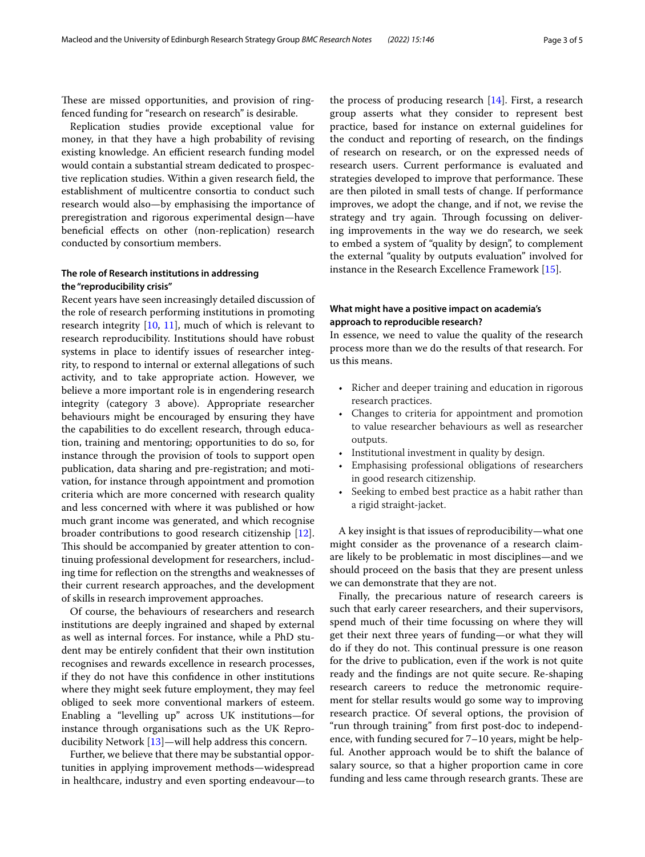These are missed opportunities, and provision of ringfenced funding for "research on research" is desirable.

Replication studies provide exceptional value for money, in that they have a high probability of revising existing knowledge. An efficient research funding model would contain a substantial stream dedicated to prospective replication studies. Within a given research feld, the establishment of multicentre consortia to conduct such research would also—by emphasising the importance of preregistration and rigorous experimental design—have beneficial effects on other (non-replication) research conducted by consortium members.

# **The role of Research institutions in addressing the "reproducibility crisis"**

Recent years have seen increasingly detailed discussion of the role of research performing institutions in promoting research integrity [[10,](#page-4-9) [11](#page-4-10)], much of which is relevant to research reproducibility. Institutions should have robust systems in place to identify issues of researcher integrity, to respond to internal or external allegations of such activity, and to take appropriate action. However, we believe a more important role is in engendering research integrity (category 3 above). Appropriate researcher behaviours might be encouraged by ensuring they have the capabilities to do excellent research, through education, training and mentoring; opportunities to do so, for instance through the provision of tools to support open publication, data sharing and pre-registration; and motivation, for instance through appointment and promotion criteria which are more concerned with research quality and less concerned with where it was published or how much grant income was generated, and which recognise broader contributions to good research citizenship [\[12](#page-4-11)]. This should be accompanied by greater attention to continuing professional development for researchers, including time for refection on the strengths and weaknesses of their current research approaches, and the development of skills in research improvement approaches.

Of course, the behaviours of researchers and research institutions are deeply ingrained and shaped by external as well as internal forces. For instance, while a PhD student may be entirely confdent that their own institution recognises and rewards excellence in research processes, if they do not have this confdence in other institutions where they might seek future employment, they may feel obliged to seek more conventional markers of esteem. Enabling a "levelling up" across UK institutions—for instance through organisations such as the UK Reproducibility Network [[13\]](#page-4-12)—will help address this concern.

Further, we believe that there may be substantial opportunities in applying improvement methods—widespread in healthcare, industry and even sporting endeavour—to the process of producing research [\[14](#page-4-13)]. First, a research group asserts what they consider to represent best practice, based for instance on external guidelines for the conduct and reporting of research, on the fndings of research on research, or on the expressed needs of research users. Current performance is evaluated and strategies developed to improve that performance. These are then piloted in small tests of change. If performance improves, we adopt the change, and if not, we revise the strategy and try again. Through focussing on delivering improvements in the way we do research, we seek to embed a system of "quality by design", to complement the external "quality by outputs evaluation" involved for instance in the Research Excellence Framework [\[15](#page-4-14)].

# **What might have a positive impact on academia's approach to reproducible research?**

In essence, we need to value the quality of the research process more than we do the results of that research. For us this means.

- Richer and deeper training and education in rigorous research practices.
- Changes to criteria for appointment and promotion to value researcher behaviours as well as researcher outputs.
- Institutional investment in quality by design.
- Emphasising professional obligations of researchers in good research citizenship.
- Seeking to embed best practice as a habit rather than a rigid straight-jacket.

A key insight is that issues of reproducibility—what one might consider as the provenance of a research claimare likely to be problematic in most disciplines—and we should proceed on the basis that they are present unless we can demonstrate that they are not.

Finally, the precarious nature of research careers is such that early career researchers, and their supervisors, spend much of their time focussing on where they will get their next three years of funding—or what they will do if they do not. This continual pressure is one reason for the drive to publication, even if the work is not quite ready and the fndings are not quite secure. Re-shaping research careers to reduce the metronomic requirement for stellar results would go some way to improving research practice. Of several options, the provision of "run through training" from frst post-doc to independence, with funding secured for 7–10 years, might be helpful. Another approach would be to shift the balance of salary source, so that a higher proportion came in core funding and less came through research grants. These are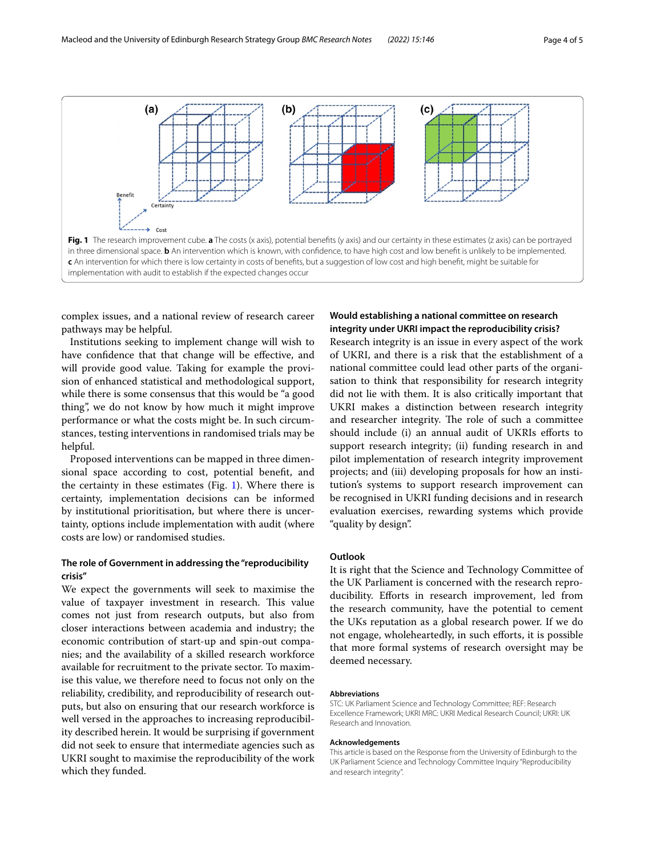

<span id="page-3-0"></span>complex issues, and a national review of research career pathways may be helpful.

Institutions seeking to implement change will wish to have confdence that that change will be efective, and will provide good value. Taking for example the provision of enhanced statistical and methodological support, while there is some consensus that this would be "a good thing", we do not know by how much it might improve performance or what the costs might be. In such circumstances, testing interventions in randomised trials may be helpful.

Proposed interventions can be mapped in three dimensional space according to cost, potential beneft, and the certainty in these estimates (Fig.  $1$ ). Where there is certainty, implementation decisions can be informed by institutional prioritisation, but where there is uncertainty, options include implementation with audit (where costs are low) or randomised studies.

# **The role of Government in addressing the "reproducibility crisis"**

We expect the governments will seek to maximise the value of taxpayer investment in research. This value comes not just from research outputs, but also from closer interactions between academia and industry; the economic contribution of start-up and spin-out companies; and the availability of a skilled research workforce available for recruitment to the private sector. To maximise this value, we therefore need to focus not only on the reliability, credibility, and reproducibility of research outputs, but also on ensuring that our research workforce is well versed in the approaches to increasing reproducibility described herein. It would be surprising if government did not seek to ensure that intermediate agencies such as UKRI sought to maximise the reproducibility of the work which they funded.

# **Would establishing a national committee on research integrity under UKRI impact the reproducibility crisis?**

Research integrity is an issue in every aspect of the work of UKRI, and there is a risk that the establishment of a national committee could lead other parts of the organisation to think that responsibility for research integrity did not lie with them. It is also critically important that UKRI makes a distinction between research integrity and researcher integrity. The role of such a committee should include (i) an annual audit of UKRIs eforts to support research integrity; (ii) funding research in and pilot implementation of research integrity improvement projects; and (iii) developing proposals for how an institution's systems to support research improvement can be recognised in UKRI funding decisions and in research evaluation exercises, rewarding systems which provide "quality by design".

# **Outlook**

It is right that the Science and Technology Committee of the UK Parliament is concerned with the research reproducibility. Eforts in research improvement, led from the research community, have the potential to cement the UKs reputation as a global research power. If we do not engage, wholeheartedly, in such eforts, it is possible that more formal systems of research oversight may be deemed necessary.

#### **Abbreviations**

STC: UK Parliament Science and Technology Committee; REF: Research Excellence Framework; UKRI MRC: UKRI Medical Research Council; UKRI: UK Research and Innovation.

#### **Acknowledgements**

This article is based on the Response from the University of Edinburgh to the UK Parliament Science and Technology Committee Inquiry "Reproducibility and research integrity".